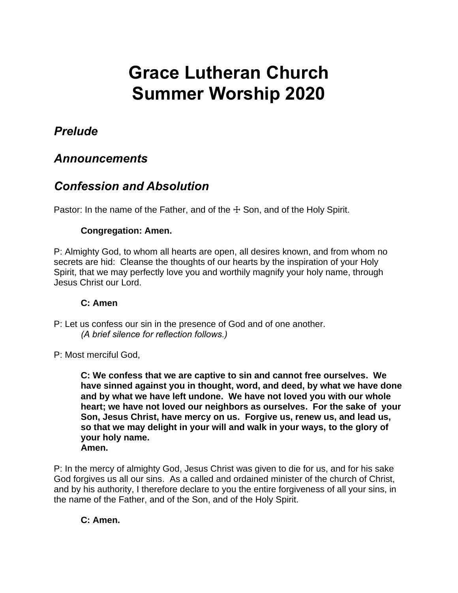# **Grace Lutheran Church Summer Worship 2020**

#### *Prelude*

#### *Announcements*

## *Confession and Absolution*

Pastor: In the name of the Father, and of the  $+$  Son, and of the Holy Spirit.

#### **Congregation: Amen.**

P: Almighty God, to whom all hearts are open, all desires known, and from whom no secrets are hid: Cleanse the thoughts of our hearts by the inspiration of your Holy Spirit, that we may perfectly love you and worthily magnify your holy name, through Jesus Christ our Lord.

#### **C: Amen**

P: Let us confess our sin in the presence of God and of one another. *(A brief silence for reflection follows.)* 

P: Most merciful God,

**C: We confess that we are captive to sin and cannot free ourselves. We have sinned against you in thought, word, and deed, by what we have done and by what we have left undone. We have not loved you with our whole heart; we have not loved our neighbors as ourselves. For the sake of your Son, Jesus Christ, have mercy on us. Forgive us, renew us, and lead us, so that we may delight in your will and walk in your ways, to the glory of your holy name. Amen.**

P: In the mercy of almighty God, Jesus Christ was given to die for us, and for his sake God forgives us all our sins. As a called and ordained minister of the church of Christ, and by his authority, I therefore declare to you the entire forgiveness of all your sins, in the name of the Father, and of the Son, and of the Holy Spirit.

#### **C: Amen.**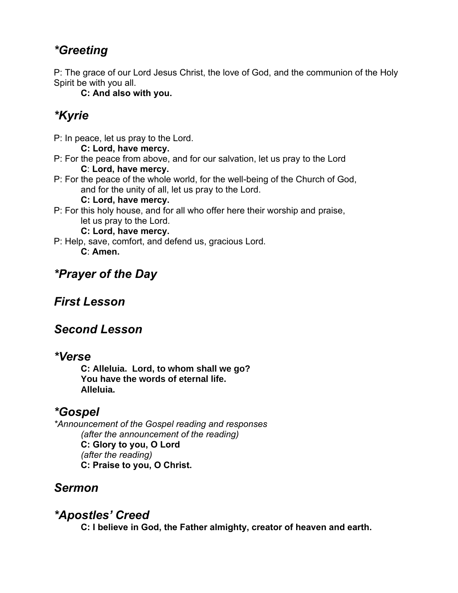## *\*Greeting*

P: The grace of our Lord Jesus Christ, the love of God, and the communion of the Holy Spirit be with you all.

**C: And also with you.**

# *\*Kyrie*

P: In peace, let us pray to the Lord.

**C: Lord, have mercy.**

- P: For the peace from above, and for our salvation, let us pray to the Lord **C**: **Lord, have mercy.**
- P: For the peace of the whole world, for the well-being of the Church of God, and for the unity of all, let us pray to the Lord.

#### **C: Lord, have mercy.**

P: For this holy house, and for all who offer here their worship and praise, let us pray to the Lord.

**C: Lord, have mercy.**

P: Help, save, comfort, and defend us, gracious Lord. **C**: **Amen.**

# *\*Prayer of the Day*

## *First Lesson*

## *Second Lesson*

#### *\*Verse*

**C: Alleluia. Lord, to whom shall we go? You have the words of eternal life. Alleluia.**

## *\*Gospel*

*\*Announcement of the Gospel reading and responses (after the announcement of the reading)* **C: Glory to you, O Lord** *(after the reading)* **C: Praise to you, O Christ.**

#### *Sermon*

#### *\*Apostles' Creed*

**C: I believe in God, the Father almighty, creator of heaven and earth.**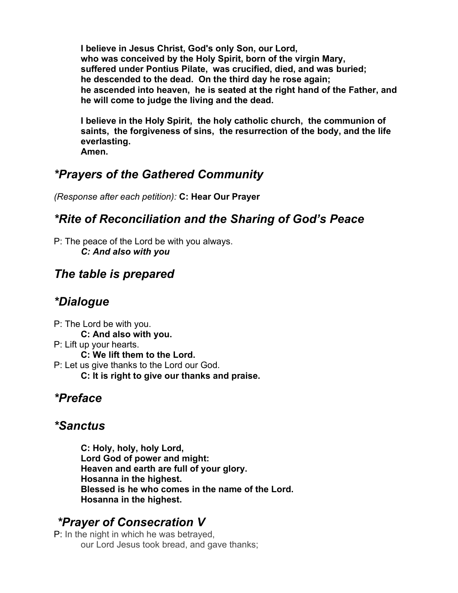**I believe in Jesus Christ, God's only Son, our Lord, who was conceived by the Holy Spirit, born of the virgin Mary, suffered under Pontius Pilate, was crucified, died, and was buried; he descended to the dead. On the third day he rose again; he ascended into heaven, he is seated at the right hand of the Father, and he will come to judge the living and the dead.**

**I believe in the Holy Spirit, the holy catholic church, the communion of saints, the forgiveness of sins, the resurrection of the body, and the life everlasting.** 

**Amen.** 

## *\*Prayers of the Gathered Community*

*(Response after each petition):* **C: Hear Our Prayer**

## *\*Rite of Reconciliation and the Sharing of God's Peace*

P: The peace of the Lord be with you always. *C: And also with you*

## *The table is prepared*

## *\*Dialogue*

P: The Lord be with you. **C: And also with you.** P: Lift up your hearts. **C: We lift them to the Lord.** P: Let us give thanks to the Lord our God. **C: It is right to give our thanks and praise.**

## *\*Preface*

## *\*Sanctus*

**C: Holy, holy, holy Lord, Lord God of power and might: Heaven and earth are full of your glory. Hosanna in the highest. Blessed is he who comes in the name of the Lord. Hosanna in the highest.**

# *\*Prayer of Consecration V*

P: In the night in which he was betrayed, our Lord Jesus took bread, and gave thanks;